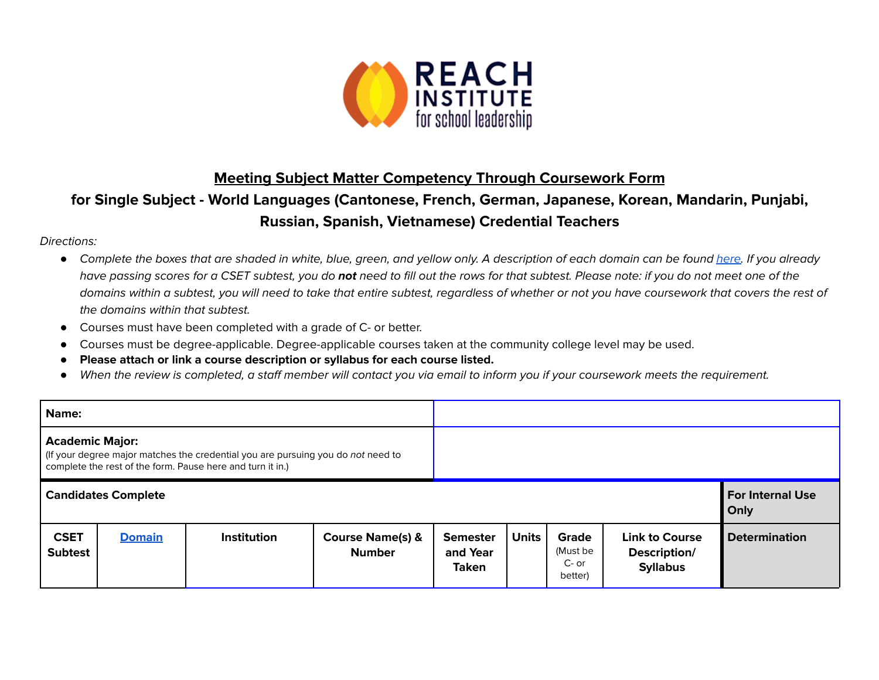

## **Meeting Subject Matter Competency Through Coursework Form**

## **for Single Subject - World Languages (Cantonese, French, German, Japanese, Korean, Mandarin, Punjabi, Russian, Spanish, Vietnamese) Credential Teachers**

## Directions:

- Complete the boxes that are shaded in white, blue, green, and yellow only. A description of each domain can be found [here.](https://www.ctc.ca.gov/docs/default-source/educator-prep/files/domains-of-subject-matter-requirements.pdf?sfvrsn=dcd525b1_2) If you already have passing scores for a CSET subtest, you do **not** need to fill out the rows for that subtest. Please note: if you do not meet one of the domains within a subtest, you will need to take that entire subtest, regardless of whether or not you have coursework that covers the rest of the domains within that subtest.
- *●* Courses must have been completed with a grade of C- or better.
- Courses must be degree-applicable. Degree-applicable courses taken at the community college level may be used.
- *●* **Please attach or link a course description or syllabus for each course listed.**
- *●* When the review is completed, a staff member will contact you via email to inform you if your coursework meets the requirement.

| Name:                                                                                                                                                                   |               |                    |                                              |                                             |              |                                         |                                                          |                                 |
|-------------------------------------------------------------------------------------------------------------------------------------------------------------------------|---------------|--------------------|----------------------------------------------|---------------------------------------------|--------------|-----------------------------------------|----------------------------------------------------------|---------------------------------|
| <b>Academic Major:</b><br>If your degree major matches the credential you are pursuing you do not need to<br>complete the rest of the form. Pause here and turn it in.) |               |                    |                                              |                                             |              |                                         |                                                          |                                 |
| <b>Candidates Complete</b>                                                                                                                                              |               |                    |                                              |                                             |              |                                         |                                                          | <b>For Internal Use</b><br>Only |
| <b>CSET</b><br><b>Subtest</b>                                                                                                                                           | <b>Domain</b> | <b>Institution</b> | <b>Course Name(s) &amp;</b><br><b>Number</b> | <b>Semester</b><br>and Year<br><b>Taken</b> | <b>Units</b> | Grade<br>(Must be<br>$C-$ or<br>better) | <b>Link to Course</b><br>Description/<br><b>Syllabus</b> | <b>Determination</b>            |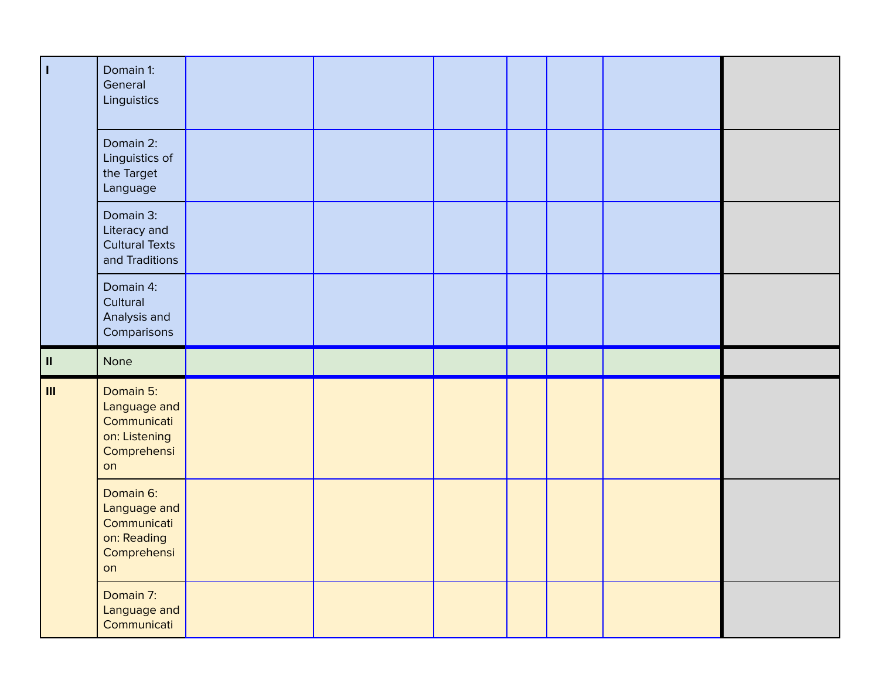| $\mathbf{I}$   | Domain 1:<br>General<br>Linguistics                                            |  |  |  |  |
|----------------|--------------------------------------------------------------------------------|--|--|--|--|
|                | Domain 2:<br>Linguistics of<br>the Target<br>Language                          |  |  |  |  |
|                | Domain 3:<br>Literacy and<br><b>Cultural Texts</b><br>and Traditions           |  |  |  |  |
|                | Domain 4:<br>Cultural<br>Analysis and<br>Comparisons                           |  |  |  |  |
|                |                                                                                |  |  |  |  |
| $\,$ II        | None                                                                           |  |  |  |  |
| $\mathbf{III}$ | Domain 5:<br>Language and<br>Communicati<br>on: Listening<br>Comprehensi<br>on |  |  |  |  |
|                | Domain 6:<br>Language and<br>Communicati<br>on: Reading<br>Comprehensi<br>on   |  |  |  |  |